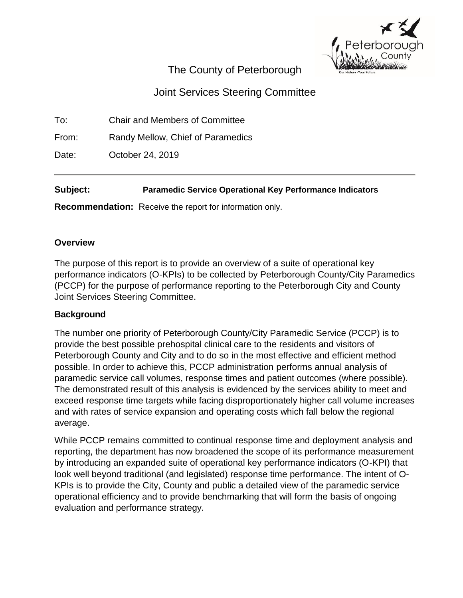

# The County of Peterborough

# Joint Services Steering Committee

To: Chair and Members of Committee

From: Randy Mellow, Chief of Paramedics

Date: **October 24, 2019** 

# **Subject: Paramedic Service Operational Key Performance Indicators**

**Recommendation:** Receive the report for information only.

## **Overview**

The purpose of this report is to provide an overview of a suite of operational key performance indicators (O-KPIs) to be collected by Peterborough County/City Paramedics (PCCP) for the purpose of performance reporting to the Peterborough City and County Joint Services Steering Committee.

# **Background**

The number one priority of Peterborough County/City Paramedic Service (PCCP) is to provide the best possible prehospital clinical care to the residents and visitors of Peterborough County and City and to do so in the most effective and efficient method possible. In order to achieve this, PCCP administration performs annual analysis of paramedic service call volumes, response times and patient outcomes (where possible). The demonstrated result of this analysis is evidenced by the services ability to meet and exceed response time targets while facing disproportionately higher call volume increases and with rates of service expansion and operating costs which fall below the regional average.

While PCCP remains committed to continual response time and deployment analysis and reporting, the department has now broadened the scope of its performance measurement by introducing an expanded suite of operational key performance indicators (O-KPI) that look well beyond traditional (and legislated) response time performance. The intent of O-KPIs is to provide the City, County and public a detailed view of the paramedic service operational efficiency and to provide benchmarking that will form the basis of ongoing evaluation and performance strategy.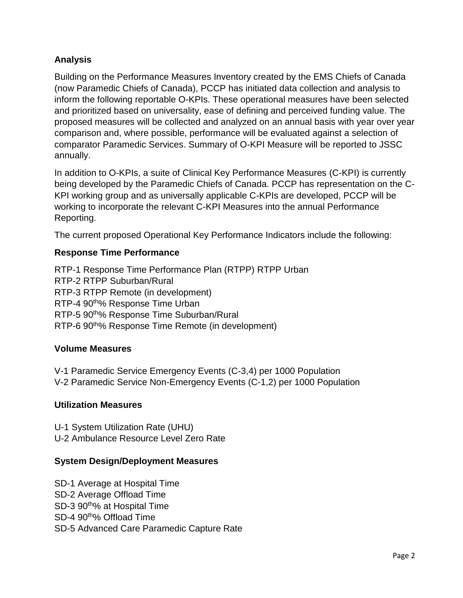# **Analysis**

Building on the Performance Measures Inventory created by the EMS Chiefs of Canada (now Paramedic Chiefs of Canada), PCCP has initiated data collection and analysis to inform the following reportable O-KPIs. These operational measures have been selected and prioritized based on universality, ease of defining and perceived funding value. The proposed measures will be collected and analyzed on an annual basis with year over year comparison and, where possible, performance will be evaluated against a selection of comparator Paramedic Services. Summary of O-KPI Measure will be reported to JSSC annually.

In addition to O-KPIs, a suite of Clinical Key Performance Measures (C-KPI) is currently being developed by the Paramedic Chiefs of Canada. PCCP has representation on the C-KPI working group and as universally applicable C-KPIs are developed, PCCP will be working to incorporate the relevant C-KPI Measures into the annual Performance Reporting.

The current proposed Operational Key Performance Indicators include the following:

# **Response Time Performance**

RTP-1 Response Time Performance Plan (RTPP) RTPP Urban RTP-2 RTPP Suburban/Rural RTP-3 RTPP Remote (in development) RTP-4 90<sup>th%</sup> Response Time Urban RTP-5 90<sup>th%</sup> Response Time Suburban/Rural RTP-6 90th% Response Time Remote (in development)

# **Volume Measures**

V-1 Paramedic Service Emergency Events (C-3,4) per 1000 Population V-2 Paramedic Service Non-Emergency Events (C-1,2) per 1000 Population

## **Utilization Measures**

U-1 System Utilization Rate (UHU) U-2 Ambulance Resource Level Zero Rate

## **System Design/Deployment Measures**

SD-1 Average at Hospital Time SD-2 Average Offload Time SD-3 90th% at Hospital Time SD-4 90<sup>th</sup>% Offload Time SD-5 Advanced Care Paramedic Capture Rate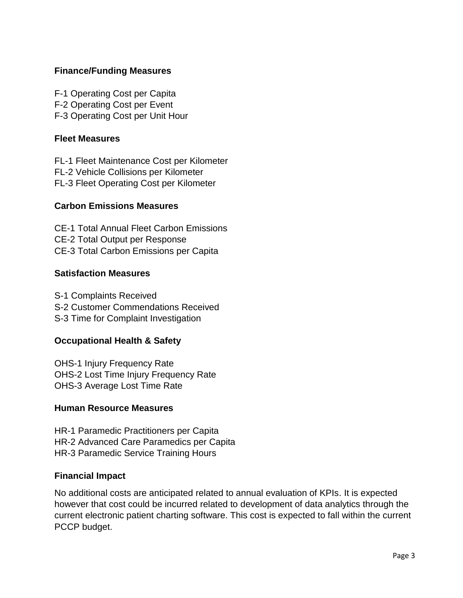## **Finance/Funding Measures**

F-1 Operating Cost per Capita F-2 Operating Cost per Event F-3 Operating Cost per Unit Hour

#### **Fleet Measures**

FL-1 Fleet Maintenance Cost per Kilometer FL-2 Vehicle Collisions per Kilometer FL-3 Fleet Operating Cost per Kilometer

## **Carbon Emissions Measures**

CE-1 Total Annual Fleet Carbon Emissions CE-2 Total Output per Response CE-3 Total Carbon Emissions per Capita

#### **Satisfaction Measures**

S-1 Complaints Received S-2 Customer Commendations Received S-3 Time for Complaint Investigation

## **Occupational Health & Safety**

OHS-1 Injury Frequency Rate OHS-2 Lost Time Injury Frequency Rate OHS-3 Average Lost Time Rate

#### **Human Resource Measures**

HR-1 Paramedic Practitioners per Capita HR-2 Advanced Care Paramedics per Capita HR-3 Paramedic Service Training Hours

#### **Financial Impact**

No additional costs are anticipated related to annual evaluation of KPIs. It is expected however that cost could be incurred related to development of data analytics through the current electronic patient charting software. This cost is expected to fall within the current PCCP budget.